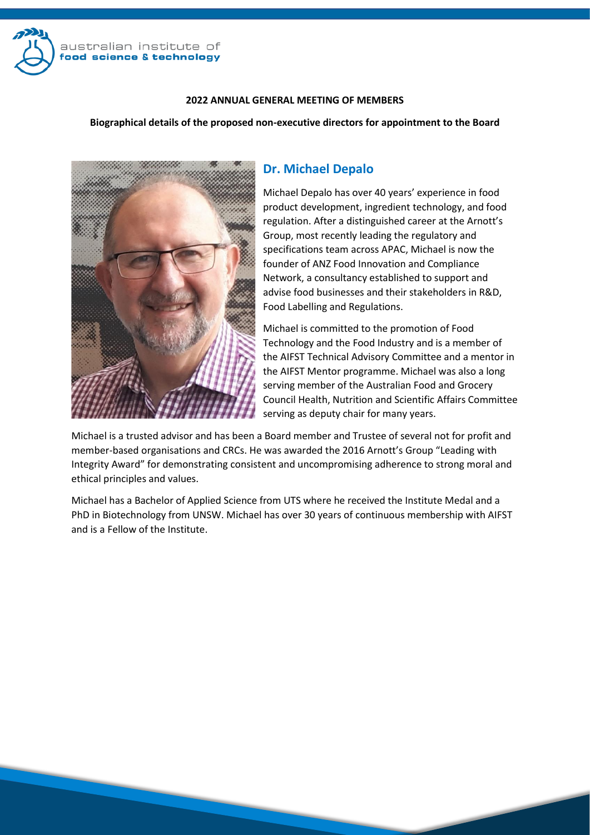

## **2022 ANNUAL GENERAL MEETING OF MEMBERS**

## **Biographical details of the proposed non-executive directors for appointment to the Board**



## **Dr. Michael Depalo**

Michael Depalo has over 40 years' experience in food product development, ingredient technology, and food regulation. After a distinguished career at the Arnott's Group, most recently leading the regulatory and specifications team across APAC, Michael is now the founder of ANZ Food Innovation and Compliance Network, a consultancy established to support and advise food businesses and their stakeholders in R&D, Food Labelling and Regulations.

Michael is committed to the promotion of Food Technology and the Food Industry and is a member of the AIFST Technical Advisory Committee and a mentor in the AIFST Mentor programme. Michael was also a long serving member of the Australian Food and Grocery Council Health, Nutrition and Scientific Affairs Committee serving as deputy chair for many years.

Michael is a trusted advisor and has been a Board member and Trustee of several not for profit and member-based organisations and CRCs. He was awarded the 2016 Arnott's Group "Leading with Integrity Award" for demonstrating consistent and uncompromising adherence to strong moral and ethical principles and values.

Michael has a Bachelor of Applied Science from UTS where he received the Institute Medal and a PhD in Biotechnology from UNSW. Michael has over 30 years of continuous membership with AIFST and is a Fellow of the Institute.